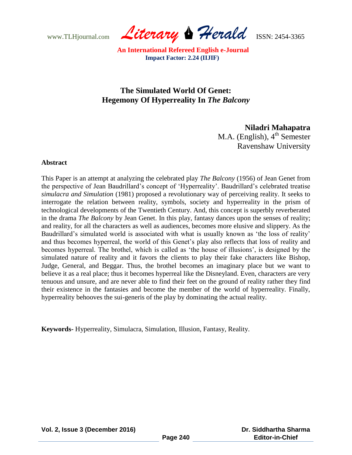www.TLHjournal.com *Literary Herald*ISSN: 2454-3365

# **The Simulated World Of Genet: Hegemony Of Hyperreality In** *The Balcony*

## **Niladri Mahapatra**

M.A. (English),  $4<sup>th</sup>$  Semester Ravenshaw University

### **Abstract**

This Paper is an attempt at analyzing the celebrated play *The Balcony* (1956) of Jean Genet from the perspective of Jean Baudrillard"s concept of "Hyperreality". Baudrillard"s celebrated treatise *simulacra and Simulation* (1981) proposed a revolutionary way of perceiving reality. It seeks to interrogate the relation between reality, symbols, society and hyperreality in the prism of technological developments of the Twentieth Century. And, this concept is superbly reverberated in the drama *The Balcony* by Jean Genet. In this play, fantasy dances upon the senses of reality; and reality, for all the characters as well as audiences, becomes more elusive and slippery. As the Baudrillard's simulated world is associated with what is usually known as 'the loss of reality' and thus becomes hyperreal, the world of this Genet's play also reflects that loss of reality and becomes hyperreal. The brothel, which is called as "the house of illusions", is designed by the simulated nature of reality and it favors the clients to play their fake characters like Bishop, Judge, General, and Beggar. Thus, the brothel becomes an imaginary place but we want to believe it as a real place; thus it becomes hyperreal like the Disneyland. Even, characters are very tenuous and unsure, and are never able to find their feet on the ground of reality rather they find their existence in the fantasies and become the member of the world of hyperreality. Finally, hyperreality behooves the sui-generis of the play by dominating the actual reality.

**Keywords-** Hyperreality, Simulacra, Simulation, Illusion, Fantasy, Reality.

**Vol. 2, Issue 3 (December 2016)**

 **Dr. Siddhartha Sharma Editor-in-Chief**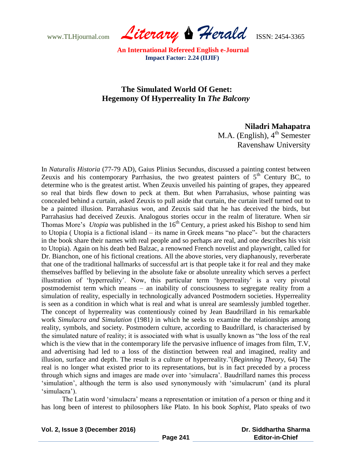www.TLHjournal.com *Literary Herald*ISSN: 2454-3365

## **The Simulated World Of Genet: Hegemony Of Hyperreality In** *The Balcony*

### **Niladri Mahapatra**

M.A. (English),  $4<sup>th</sup>$  Semester Ravenshaw University

In *Naturalis Historia* (77-79 AD), Gaius Plinius Secundus, discussed a painting contest between Zeuxis and his contemporary Parrhasius, the two greatest painters of  $5<sup>th</sup>$  Century BC, to determine who is the greatest artist. When Zeuxis unveiled his painting of grapes, they appeared so real that birds flew down to peck at them. But when Parrahasius, whose painting was concealed behind a curtain, asked Zeuxis to pull aside that curtain, the curtain itself turned out to be a painted illusion. Parrahasius won, and Zeuxis said that he has deceived the birds, but Parrahasius had deceived Zeuxis. Analogous stories occur in the realm of literature. When sir Thomas More's *Utopia* was published in the 16<sup>th</sup> Century, a priest asked his Bishop to send him to Utopia ( Utopia is a fictional island – its name in Greek means "no place"- but the characters in the book share their names with real people and so perhaps are real, and one describes his visit to Utopia). Again on his death bed Balzac, a renowned French novelist and playwright, called for Dr. Bianchon, one of his fictional creations. All the above stories, very diaphanously, reverberate that one of the traditional hallmarks of successful art is that people take it for real and they make themselves baffled by believing in the absolute fake or absolute unreality which serves a perfect illustration of "hyperreality". Now, this particular term "hyperreality" is a very pivotal postmodernist term which means – an inability of consciousness to segregate reality from a simulation of reality, especially in technologically advanced Postmodern societies. Hyperreality is seen as a condition in which what is real and what is unreal are seamlessly jumbled together. The concept of hyperreality was contentiously coined by Jean Baudrillard in his remarkable work *Simulacra and Simulation* (1981*)* in which he seeks to examine the relationships among reality, symbols, and society. Postmodern culture, according to Baudrillard, is characterised by the simulated nature of reality; it is associated with what is usually known as "the loss of the real which is the view that in the contemporary life the pervasive influence of images from film, T.V, and advertising had led to a loss of the distinction between real and imagined, reality and illusion, surface and depth. The result is a culture of hyperreality."(*Beginning Theory*, 64) The real is no longer what existed prior to its representations, but is in fact preceded by a process through which signs and images are made over into "simulacra". Baudrillard names this process "simulation", although the term is also used synonymously with "simulacrum" (and its plural 'simulacra').

 The Latin word "simulacra" means a representation or imitation of a person or thing and it has long been of interest to philosophers like Plato. In his book *Sophist*, Plato speaks of two

**Vol. 2, Issue 3 (December 2016)**

 **Dr. Siddhartha Sharma Editor-in-Chief**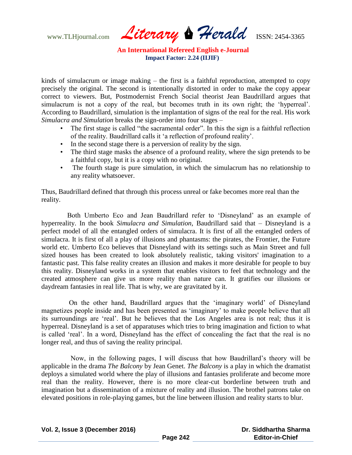www.TLHjournal.com *Literary Herald*ISSN: 2454-3365

kinds of simulacrum or image making – the first is a faithful reproduction, attempted to copy precisely the original. The second is intentionally distorted in order to make the copy appear correct to viewers. But, Postmodernist French Social theorist Jean Baudrillard argues that simulacrum is not a copy of the real, but becomes truth in its own right; the 'hyperreal'. According to Baudrillard, simulation is the implantation of signs of the real for the real. His work *Simulacra and Simulation* breaks the sign-order into four stages –

- The first stage is called "the sacramental order". In this the sign is a faithful reflection of the reality. Baudrillard calls it "a reflection of profound reality".
- In the second stage there is a perversion of reality by the sign.
- The third stage masks the absence of a profound reality, where the sign pretends to be a faithful copy, but it is a copy with no original.
- The fourth stage is pure simulation, in which the simulacrum has no relationship to any reality whatsoever.

Thus, Baudrillard defined that through this process unreal or fake becomes more real than the reality.

 Both Umberto Eco and Jean Baudrillard refer to "Disneyland" as an example of hyperreality. In the book *Simulacra and Simulation*, Baudrillard said that – Disneyland is a perfect model of all the entangled orders of simulacra. It is first of all the entangled orders of simulacra. It is first of all a play of illusions and phantasms: the pirates, the Frontier, the Future world etc. Umberto Eco believes that Disneyland with its settings such as Main Street and full sized houses has been created to look absolutely realistic, taking visitors' imagination to a fantastic past. This false reality creates an illusion and makes it more desirable for people to buy this reality. Disneyland works in a system that enables visitors to feel that technology and the created atmosphere can give us more reality than nature can. It gratifies our illusions or daydream fantasies in real life. That is why, we are gravitated by it.

 On the other hand, Baudrillard argues that the "imaginary world" of Disneyland magnetizes people inside and has been presented as "imaginary" to make people believe that all its surroundings are "real". But he believes that the Los Angeles area is not real; thus it is hyperreal. Disneyland is a set of apparatuses which tries to bring imagination and fiction to what is called "real". In a word, Disneyland has the effect of concealing the fact that the real is no longer real, and thus of saving the reality principal.

 Now, in the following pages, I will discuss that how Baudrillard"s theory will be applicable in the drama *The Balcony* by Jean Genet. *The Balcony* is a play in which the dramatist deploys a simulated world where the play of illusions and fantasies proliferate and become more real than the reality. However, there is no more clear-cut borderline between truth and imagination but a dissemination of a mixture of reality and illusion. The brothel patrons take on elevated positions in role-playing games, but the line between illusion and reality starts to blur.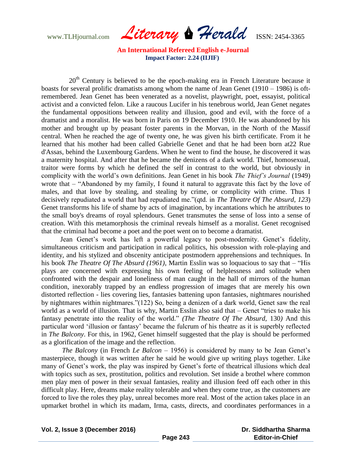www.TLHjournal.com *Literary Herald*ISSN: 2454-3365

20<sup>th</sup> Century is believed to be the epoch-making era in French Literature because it boasts for several prolific dramatists among whom the name of Jean Genet (1910 – 1986) is oftremembered. Jean Genet has been venerated as a novelist, playwright, poet, essayist, political activist and a convicted felon. Like a raucous Lucifer in his tenebrous world, Jean Genet negates the fundamental oppositions between reality and illusion, good and evil, with the force of a dramatist and a moralist. He was born in Paris on 19 December 1910. He was abandoned by his mother and brought up by peasant foster parents in the Morvan, in the North of the Massif central. When he reached the age of twenty one, he was given his birth certificate. From it he learned that his mother had been called Gabrielle Genet and that he had been born at22 Rue d'Assas, behind the Luxembourg Gardens. When he went to find the house, he discovered it was a maternity hospital. And after that he became the denizens of a dark world. Thief, homosexual, traitor were forms by which he defined the self in contrast to the world, but obviously in complicity with the world"s own definitions. Jean Genet in his book *The Thief's Journal* (1949) wrote that – "Abandoned by my family, I found it natural to aggravate this fact by the love of males, and that love by stealing, and stealing by crime, or complicity with crime. Thus I decisively repudiated a world that had repudiated me."(qtd. in *The Theatre Of The Absurd, 123*) Genet transforms his life of shame by acts of imagination, by incantations which he attributes to the small boy's dreams of royal splendours. Genet transmutes the sense of loss into a sense of creation. With this metamorphosis the criminal reveals himself as a moralist. Genet recognised that the criminal had become a poet and the poet went on to become a dramatist.

Jean Genet's work has left a powerful legacy to post-modernity. Genet's fidelity, simultaneous criticism and participation in radical politics, his obsession with role-playing and identity, and his stylized and obscenity anticipate postmodern apprehensions and techniques. In his book *The Theatre Of The Absurd (1961)*, Martin Esslin was so loquacious to say that – "His plays are concerned with expressing his own feeling of helplessness and solitude when confronted with the despair and loneliness of man caught in the hall of mirrors of the human condition, inexorably trapped by an endless progression of images that are merely his own distorted reflection - lies covering lies, fantasies battening upon fantasies, nightmares nourished by nightmares within nightmares."(122) So, being a denizen of a dark world, Genet saw the real world as a world of illusion. That is why, Martin Esslin also said that – Genet "tries to make his fantasy penetrate into the reality of the world." *(The Theatre Of The Absurd,* 130*)* And this particular word "illusion or fantasy" became the fulcrum of his theatre as it is superbly reflected in *The Balcony*. For this, in 1962, Genet himself suggested that the play is should be performed as a glorification of the image and the reflection.

*The Balcony* (in French *Le Balcon* – 1956) is considered by many to be Jean Genet's masterpiece, though it was written after he said he would give up writing plays together. Like many of Genet's work, the play was inspired by Genet's forte of theatrical illusions which deal with topics such as sex, prostitution, politics and revolution. Set inside a brothel where common men play men of power in their sexual fantasies, reality and illusion feed off each other in this difficult play. Here, dreams make reality tolerable and when they come true, as the customers are forced to live the roles they play, unreal becomes more real. Most of the action takes place in an upmarket brothel in which its madam, Irma, casts, directs, and coordinates performances in a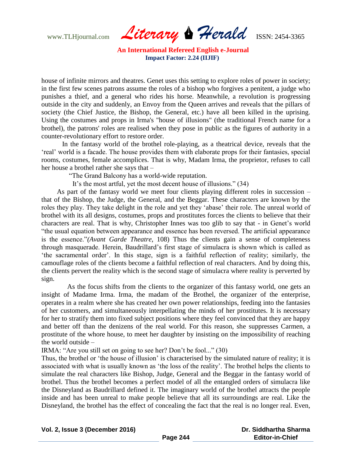www.TLHjournal.com *Literary Herald*ISSN: 2454-3365

house of infinite mirrors and theatres. Genet uses this setting to explore roles of power in society; in the first few scenes patrons assume the roles of a bishop who forgives a penitent, a judge who punishes a thief, and a general who rides his horse. Meanwhile, a revolution is progressing outside in the city and suddenly, an Envoy from the Queen arrives and reveals that the pillars of society (the Chief Justice, the Bishop, the General, etc.) have all been killed in the uprising. Using the costumes and props in Irma's "house of illusions" (the traditional French name for a brothel), the patrons' roles are realised when they pose in public as the figures of authority in a counter-revolutionary effort to restore order.

 In the fantasy world of the brothel role-playing, as a theatrical device, reveals that the "real" world is a facade. The house provides them with elaborate props for their fantasies, special rooms, costumes, female accomplices. That is why, Madam Irma, the proprietor, refuses to call her house a brothel rather she says that –

"The Grand Balcony has a world-wide reputation.

It's the most artful, yet the most decent house of illusions." (34)

 As part of the fantasy world we meet four clients playing different roles in succession – that of the Bishop, the Judge, the General, and the Beggar. These characters are known by the roles they play. They take delight in the role and yet they "abase" their role. The unreal world of brothel with its all designs, costumes, props and prostitutes forces the clients to believe that their characters are real. That is why, Christopher Innes was too glib to say that - in Genet"s world "the usual equation between appearance and essence has been reversed. The artificial appearance is the essence."*(Avant Garde Theatre*, 108) Thus the clients gain a sense of completeness through masquerade. Herein, Baudrillard"s first stage of simulacra is shown which is called as "the sacramental order". In this stage, sign is a faithful reflection of reality; similarly, the camouflage roles of the clients become a faithful reflection of real characters. And by doing this, the clients pervert the reality which is the second stage of simulacra where reality is perverted by sign.

 As the focus shifts from the clients to the organizer of this fantasy world, one gets an insight of Madame Irma. Irma, the madam of the Brothel, the organizer of the enterprise, operates in a realm where she has created her own power relationships, feeding into the fantasies of her customers, and simultaneously interpellating the minds of her prostitutes. It is necessary for her to stratify them into fixed subject positions where they feel convinced that they are happy and better off than the denizens of the real world. For this reason, she suppresses Carmen, a prostitute of the whore house, to meet her daughter by insisting on the impossibility of reaching the world outside –

IRMA: "Are you still set on going to see her? Don"t be fool..." (30)

Thus, the brothel or 'the house of illusion' is characterised by the simulated nature of reality; it is associated with what is usually known as "the loss of the reality". The brothel helps the clients to simulate the real characters like Bishop, Judge, General and the Beggar in the fantasy world of brothel. Thus the brothel becomes a perfect model of all the entangled orders of simulacra like the Disneyland as Baudrillard defined it. The imaginary world of the brothel attracts the people inside and has been unreal to make people believe that all its surroundings are real. Like the Disneyland, the brothel has the effect of concealing the fact that the real is no longer real. Even,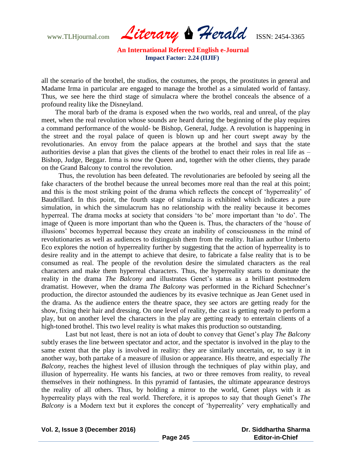www.TLHjournal.com *Literary Herald*ISSN: 2454-3365

all the scenario of the brothel, the studios, the costumes, the props, the prostitutes in general and Madame Irma in particular are engaged to manage the brothel as a simulated world of fantasy. Thus, we see here the third stage of simulacra where the brothel conceals the absence of a profound reality like the Disneyland.

 The moral barb of the drama is exposed when the two worlds, real and unreal, of the play meet, when the real revolution whose sounds are heard during the beginning of the play requires a command performance of the would- be Bishop, General, Judge. A revolution is happening in the street and the royal palace of queen is blown up and her court swept away by the revolutionaries. An envoy from the palace appears at the brothel and says that the state authorities devise a plan that gives the clients of the brothel to enact their roles in real life as – Bishop, Judge, Beggar. Irma is now the Queen and, together with the other clients, they parade on the Grand Balcony to control the revolution.

 Thus, the revolution has been defeated. The revolutionaries are befooled by seeing all the fake characters of the brothel because the unreal becomes more real than the real at this point; and this is the most striking point of the drama which reflects the concept of "hyperreality" of Baudrillard. In this point, the fourth stage of simulacra is exhibited which indicates a pure simulation, in which the simulacrum has no relationship with the reality because it becomes hyperreal. The drama mocks at society that considers 'to be' more important than 'to do'. The image of Queen is more important than who the Queen is. Thus, the characters of the "house of illusions" becomes hyperreal because they create an inability of consciousness in the mind of revolutionaries as well as audiences to distinguish them from the reality. Italian author Umberto Eco explores the notion of hyperreality further by suggesting that the action of hyperreality is to desire reality and in the attempt to achieve that desire, to fabricate a false reality that is to be consumed as real. The people of the revolution desire the simulated characters as the real characters and make them hyperreal characters. Thus, the hyperreality starts to dominate the reality in the drama *The Balcony* and illustrates Genet's status as a brilliant postmodern dramatist. However, when the drama *The Balcony* was performed in the Richard Schechner's production, the director astounded the audiences by its evasive technique as Jean Genet used in the drama. As the audience enters the theatre space, they see actors are getting ready for the show, fixing their hair and dressing. On one level of reality, the cast is getting ready to perform a play, but on another level the characters in the play are getting ready to entertain clients of a high-toned brothel. This two level reality is what makes this production so outstanding.

Last but not least, there is not an iota of doubt to convey that Genet's play *The Balcony* subtly erases the line between spectator and actor, and the spectator is involved in the play to the same extent that the play is involved in reality: they are similarly uncertain, or, to say it in another way, both partake of a measure of illusion or appearance. His theatre, and especially *The Balcony*, reaches the highest level of illusion through the techniques of play within play, and illusion of hyperreality. He wants his fancies, at two or three removes from reality, to reveal themselves in their nothingness. In this pyramid of fantasies, the ultimate appearance destroys the reality of all others. Thus, by holding a mirror to the world, Genet plays with it as hyperreality plays with the real world. Therefore, it is apropos to say that though Genet's *The Balcony* is a Modern text but it explores the concept of 'hyperreality' very emphatically and